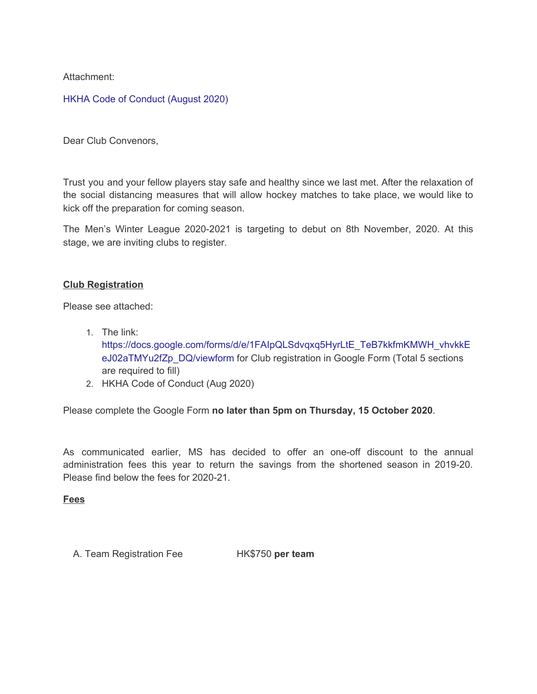Attachment:

## HKHA Code of [Conduct](https://hkha.sportlomo.com/wp-content/uploads/2020/12/HKHA-Code-of-Conduct-August-2020.pdf) (August 2020)

Dear Club Convenors,

Trust you and your fellow players stay safe and healthy since we last met. After the relaxation of the social distancing measures that will allow hockey matches to take place, we would like to kick off the preparation for coming season.

The Men's Winter League 2020-2021 is targeting to debut on 8th November, 2020. At this stage, we are inviting clubs to register.

### **Club Registration**

Please see attached:

- 1. The link: [https://docs.google.com/forms/d/e/1FAIpQLSdvqxq5HyrLtE\\_TeB7kkfmKMWH\\_vhvkkE](https://docs.google.com/forms/d/e/1FAIpQLSdvqxq5HyrLtE_TeB7kkfmKMWH_vhvkkEeJ02aTMYu2fZp_DQ/viewform) [eJ02aTMYu2fZp\\_DQ/viewform](https://docs.google.com/forms/d/e/1FAIpQLSdvqxq5HyrLtE_TeB7kkfmKMWH_vhvkkEeJ02aTMYu2fZp_DQ/viewform) for Club registration in Google Form (Total 5 sections are required to fill)
- 2. HKHA Code of Conduct (Aug 2020)

Please complete the Google Form **no later than 5pm on Thursday, 15 October 2020**.

As communicated earlier, MS has decided to offer an one-off discount to the annual administration fees this year to return the savings from the shortened season in 2019-20. Please find below the fees for 2020-21.

#### **Fees**

A. Team Registration Fee HK\$750 **per team**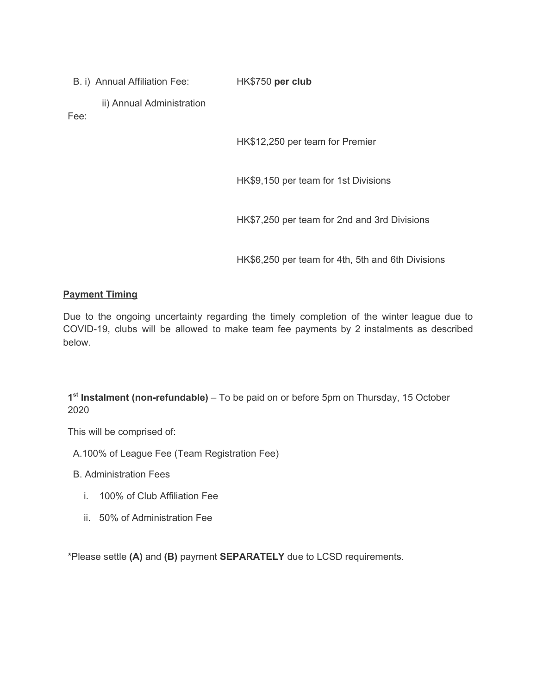B. i) Annual Affiliation Fee:

HK\$750 **per club**

ii) Annual Administration

Fee:

HK\$12,250 per team for Premier

HK\$9,150 per team for 1st Divisions

HK\$7,250 per team for 2nd and 3rd Divisions

HK\$6,250 per team for 4th, 5th and 6th Divisions

## **Payment Timing**

Due to the ongoing uncertainty regarding the timely completion of the winter league due to COVID-19, clubs will be allowed to make team fee payments by 2 instalments as described below.

**1 st Instalment (non-refundable)** – To be paid on or before 5pm on Thursday, 15 October 2020

This will be comprised of:

A.100% of League Fee (Team Registration Fee)

B. Administration Fees

- i. 100% of Club Affiliation Fee
- ii. 50% of Administration Fee

\*Please settle **(A)** and **(B)** payment **SEPARATELY** due to LCSD requirements.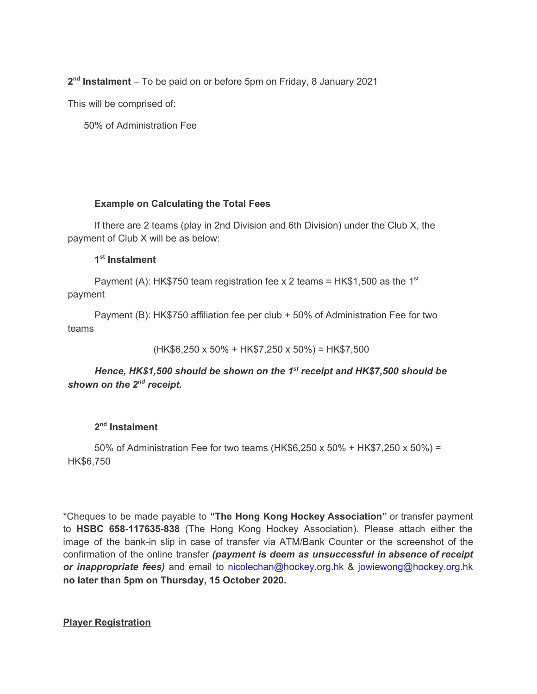**2 nd Instalment** – To be paid on or before 5pm on Friday, 8 January 2021

This will be comprised of:

50% of Administration Fee

### **Example on Calculating the Total Fees**

If there are 2 teams (play in 2nd Division and 6th Division) under the Club X, the payment of Club X will be as below:

### **1 st Instalment**

Payment (A): HK\$750 team registration fee x 2 teams = HK\$1,500 as the 1st payment

Payment (B): HK\$750 affiliation fee per club + 50% of Administration Fee for two teams

```
(HK$6,250 x 50% + HK$7,250 x 50%) = HK$7,500
```
# *Hence, HK\$1,500 should be shown on the 1 st receipt and HK\$7,500 should be shown on the 2<sup>nd</sup> receipt.*

## **2 nd Instalment**

50% of Administration Fee for two teams (HK\$6,250 x 50% + HK\$7,250 x 50%) = HK\$6,750

\*Cheques to be made payable to **"The Hong Kong Hockey Association"** or transfer payment to **HSBC 658-117635-838** (The Hong Kong Hockey Association). Please attach either the image of the bank-in slip in case of transfer via ATM/Bank Counter or the screenshot of the confirmation of the online transfer *(payment is deem as unsuccessful in absence of receipt or inappropriate fees)* and email to nicolechan@hockey.org.hk & jowiewong@hockey.org.hk **no later than 5pm on Thursday, 15 October 2020.**

### **Player Registration**